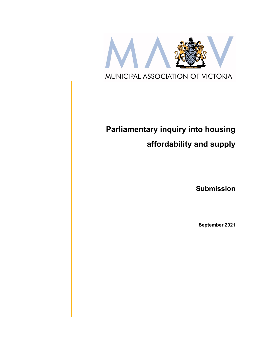

# **Parliamentary inquiry into housing affordability and supply**

**Submission**

**September 2021**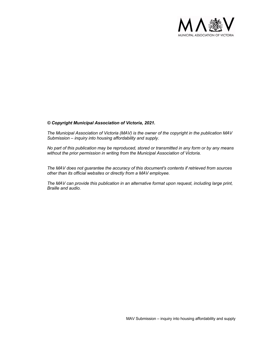

#### *© Copyright Municipal Association of Victoria, 2021.*

*The Municipal Association of Victoria (MAV) is the owner of the copyright in the publication MAV Submission – inquiry into housing affordability and supply.* 

*No part of this publication may be reproduced, stored or transmitted in any form or by any means without the prior permission in writing from the Municipal Association of Victoria.* 

*The MAV does not guarantee the accuracy of this document's contents if retrieved from sources other than its official websites or directly from a MAV employee.*

*The MAV can provide this publication in an alternative format upon request, including large print, Braille and audio.*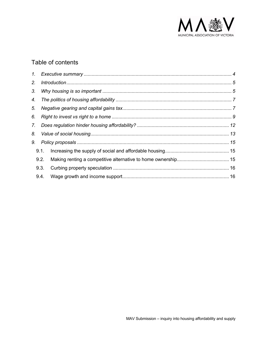

## Table of contents

|    | 1.   |  |  |  |  |  |  |  |
|----|------|--|--|--|--|--|--|--|
| 2. |      |  |  |  |  |  |  |  |
| 3. |      |  |  |  |  |  |  |  |
| 4. |      |  |  |  |  |  |  |  |
| 5. |      |  |  |  |  |  |  |  |
| 6. |      |  |  |  |  |  |  |  |
| 7. |      |  |  |  |  |  |  |  |
| 8. |      |  |  |  |  |  |  |  |
| 9. |      |  |  |  |  |  |  |  |
|    | 9.1. |  |  |  |  |  |  |  |
|    | 9.2. |  |  |  |  |  |  |  |
|    | 9.3. |  |  |  |  |  |  |  |
|    | 9.4. |  |  |  |  |  |  |  |
|    |      |  |  |  |  |  |  |  |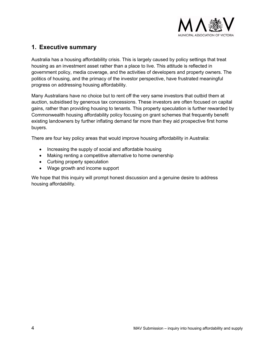

#### **1. Executive summary**

Australia has a housing affordability crisis. This is largely caused by policy settings that treat housing as an investment asset rather than a place to live. This attitude is reflected in government policy, media coverage, and the activities of developers and property owners. The politics of housing, and the primacy of the investor perspective, have frustrated meaningful progress on addressing housing affordability.

Many Australians have no choice but to rent off the very same investors that outbid them at auction, subsidised by generous tax concessions. These investors are often focused on capital gains, rather than providing housing to tenants. This property speculation is further rewarded by Commonwealth housing affordability policy focusing on grant schemes that frequently benefit existing landowners by further inflating demand far more than they aid prospective first home buyers.

There are four key policy areas that would improve housing affordability in Australia:

- Increasing the supply of social and affordable housing
- Making renting a competitive alternative to home ownership
- Curbing property speculation
- Wage growth and income support

We hope that this inquiry will prompt honest discussion and a genuine desire to address housing affordability.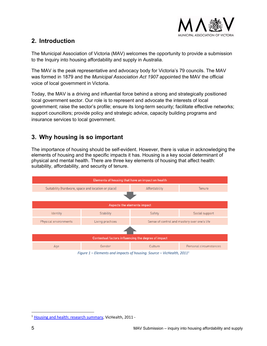

#### **2. Introduction**

The Municipal Association of Victoria (MAV) welcomes the opportunity to provide a submission to the Inquiry into housing affordability and supply in Australia.

The MAV is the peak representative and advocacy body for Victoria's 79 councils. The MAV was formed in 1879 and the *Municipal Association Act 1907* appointed the MAV the official voice of local government in Victoria.

Today, the MAV is a driving and influential force behind a strong and strategically positioned local government sector. Our role is to represent and advocate the interests of local government; raise the sector's profile; ensure its long-term security; facilitate effective networks; support councillors; provide policy and strategic advice, capacity building programs and insurance services to local government.

#### **3. Why housing is so important**

The importance of housing should be self-evident. However, there is value in acknowledging the elements of housing and the specific impacts it has. Housing is a key social determinant of physical and mental health. There are three key elements of housing that affect health: suitability, affordability, and security of tenure.



*Figure 1 – Elements and impacts of housing. Source – VicHealth, 20111*

<sup>1</sup> Housing and health: research summary, VicHealth, 2011 -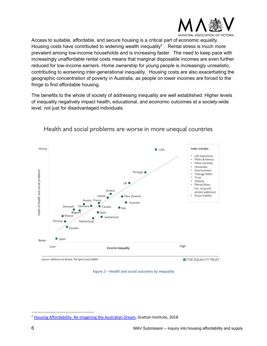

Access to suitable, affordable, and secure housing is a critical part of economic equality. Housing costs have contributed to widening wealth inequality<sup>2</sup>. Rental stress is much more prevalent among low-income households and is increasing faster. The need to keep pace with increasingly unaffordable rental costs means that marginal disposable incomes are even further reduced for low-income earners. Home ownership for young people is increasingly unrealistic, contributing to worsening inter-generational inequality. Housing costs are also exacerbating the geographic concentration of poverty in Australia, as people on lower incomes are forced to the fringe to find affordable housing.

The benefits to the whole of society of addressing inequality are well established. Higher levels of inequality negatively impact health, educational, and economic outcomes at a society-wide level, not just for disadvantaged individuals.



Health and social problems are worse in more unequal countries

*Figure 2 – Health and social outcomes by inequality*

<sup>&</sup>lt;sup>2</sup> Housing Affordability- Re-imagining the Australian Dream, Grattan Institute, 2018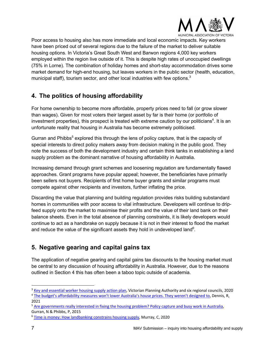

Poor access to housing also has more immediate and local economic impacts. Key workers have been priced out of several regions due to the failure of the market to deliver suitable housing options. In Victoria's Great South West and Barwon regions 4,000 key workers employed within the region live outside of it. This is despite high rates of unoccupied dwellings (75% in Lorne). The combination of holiday homes and short-stay accommodation drives some market demand for high-end housing, but leaves workers in the public sector (health, education, municipal staff), tourism sector, and other local industries with few options. $3$ 

## **4. The politics of housing affordability**

For home ownership to become more affordable, property prices need to fall (or grow slower than wages). Given for most voters their largest asset by far is their home (or portfolio of investment properties), this prospect is treated with extreme caution by our politicians<sup>4</sup>. It is an unfortunate reality that housing in Australia has become extremely politicised.

Gurran and Phibbs<sup>5</sup> explored this through the lens of policy capture, that is the capacity of special interests to direct policy makers away from decision making in the public good. They note the success of both the development industry and certain think tanks in establishing a land supply problem as the dominant narrative of housing affordability in Australia.

Increasing demand through grant schemes and loosening regulation are fundamentally flawed approaches. Grant programs have popular appeal; however, the beneficiaries have primarily been sellers not buyers. Recipients of first home buyer grants and similar programs must compete against other recipients and investors, further inflating the price.

Discarding the value that planning and building regulation provides risks building substandard homes in communities with poor access to vital infrastructure. Developers will continue to dripfeed supply onto the market to maximise their profits and the value of their land bank on their balance sheets. Even in the total absence of planning constraints, it is likely developers would continue to act as a handbrake on supply because it is not in their interest to flood the market and reduce the value of the significant assets they hold in undeveloped land<sup>6</sup>.

## **5. Negative gearing and capital gains tax**

The application of negative gearing and capital gains tax discounts to the housing market must be central to any discussion of housing affordability in Australia. However, due to the reasons outlined in Section 4 this has often been a taboo topic outside of academia.

<sup>&</sup>lt;sup>3</sup> Key and essential worker housing supply action plan, Victorian Planning Authority and six regional councils, 2020 <sup>4</sup> The budget's affordability measures won't lower Australia's house prices. They weren't designed to, Dennis, R,

<sup>2021</sup>

<sup>5</sup> Are governments really interested in fixing the housing problem? Policy capture and busy work in Australia, Gurran, N & Phibbs, P, 2015

<sup>6</sup> Time is money: How landbanking constrains housing supply, Murray, C, 2020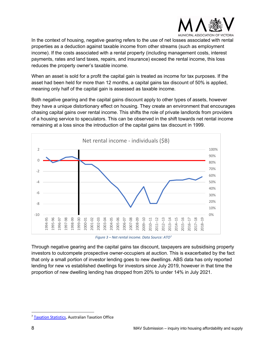

In the context of housing, negative gearing refers to the use of net losses associated with rental properties as a deduction against taxable income from other streams (such as employment income). If the costs associated with a rental property (including management costs, interest payments, rates and land taxes, repairs, and insurance) exceed the rental income, this loss reduces the property owner's taxable income.

When an asset is sold for a profit the capital gain is treated as income for tax purposes. If the asset had been held for more than 12 months, a capital gains tax discount of 50% is applied, meaning only half of the capital gain is assessed as taxable income.

Both negative gearing and the capital gains discount apply to other types of assets, however they have a unique distortionary effect on housing. They create an environment that encourages chasing capital gains over rental income. This shifts the role of private landlords from providers of a housing service to speculators. This can be observed in the shift towards net rental income remaining at a loss since the introduction of the capital gains tax discount in 1999.



*Figure 3 – Net rental income. Data Source: ATO7*

Through negative gearing and the capital gains tax discount, taxpayers are subsidising property investors to outcompete prospective owner-occupiers at auction. This is exacerbated by the fact that only a small portion of investor lending goes to new dwellings. ABS data has only reported lending for new vs established dwellings for investors since July 2019, however in that time the proportion of new dwelling lending has dropped from 20% to under 14% in July 2021.

<sup>&</sup>lt;sup>7</sup> Taxation Statistics, Australian Taxation Office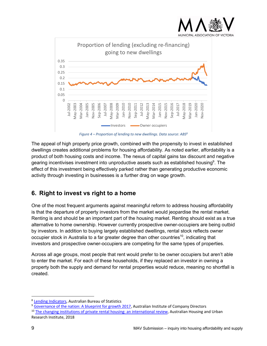

*Figure 4 – Proportion of lending to new dwellings. Data source: ABS8*

The appeal of high property price growth, combined with the propensity to invest in established dwellings creates additional problems for housing affordability. As noted earlier, affordability is a product of both housing costs and income. The nexus of capital gains tax discount and negative gearing incentivises investment into unproductive assets such as established housing<sup>9</sup>. The effect of this investment being effectively parked rather than generating productive economic activity through investing in businesses is a further drag on wage growth.

## **6. Right to invest vs right to a home**

One of the most frequent arguments against meaningful reform to address housing affordability is that the departure of property investors from the market would jeopardise the rental market. Renting is and should be an important part of the housing market. Renting should exist as a true alternative to home ownership. However currently prospective owner-occupiers are being outbid by investors. In addition to buying largely established dwellings, rental stock reflects owner occupier stock in Australia to a far greater degree than other countries<sup>10</sup>, indicating that investors and prospective owner-occupiers are competing for the same types of properties.

Across all age groups, most people that rent would prefer to be owner occupiers but aren't able to enter the market. For each of these households, if they replaced an investor in owning a property both the supply and demand for rental properties would reduce, meaning no shortfall is created.

<sup>8</sup> Lending Indicators, Australian Bureau of Statistics

<sup>&</sup>lt;sup>9</sup> Governance of the nation: A blueprint for growth 2017, Australian Institute of Company Directors

<sup>&</sup>lt;sup>10</sup> The changing institutions of private rental housing: an international review, Australian Housing and Urban Research Institute, 2018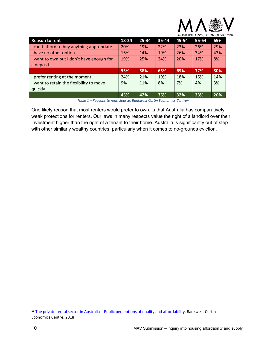

| <b>Reason to rent</b>                      | 18-24 | 25-34 | 35-44 | 45-54 | 55-64 | $65+$ |
|--------------------------------------------|-------|-------|-------|-------|-------|-------|
| I can't afford to buy anything appropriate | 20%   | 19%   | 22%   | 23%   | 26%   | 29%   |
| I have no other option                     | 16%   | 14%   | 19%   | 26%   | 34%   | 43%   |
| I want to own but I don't have enough for  | 19%   | 25%   | 24%   | 20%   | 17%   | 8%    |
| a deposit                                  |       |       |       |       |       |       |
|                                            | 55%   | 58%   | 65%   | 69%   | 77%   | 80%   |
| prefer renting at the moment               | 24%   | 21%   | 19%   | 18%   | 15%   | 14%   |
| want to retain the flexibility to move     | 9%    | 11%   | 8%    | 7%    | 4%    | 3%    |
| quickly                                    |       |       |       |       |       |       |
|                                            | 45%   | 42%   | 36%   | 32%   | 23%   | 20%   |

*Table 1 – Reasons to rent. Source: Bankwest Curtin Economics Centre11*

One likely reason that most renters would prefer to own, is that Australia has comparatively weak protections for renters. Our laws in many respects value the right of a landlord over their investment higher than the right of a tenant to their home. Australia is significantly out of step with other similarly wealthy countries, particularly when it comes to no-grounds eviction.

<sup>&</sup>lt;sup>11</sup> The private rental sector in Australia – Public perceptions of quality and affordability, Bankwest Curtin Economics Centre, 2018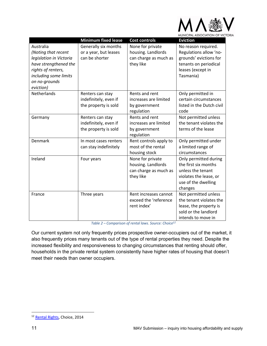

|                         | <b>Minimum fixed lease</b> | <b>Cost controls</b>   | <b>Eviction</b>           |
|-------------------------|----------------------------|------------------------|---------------------------|
| Australia               | Generally six months       | None for private       | No reason required.       |
| (Noting that recent     | or a year, but leases      | housing. Landlords     | Regulations allow 'no-    |
| legislation in Victoria | can be shorter             | can charge as much as  | grounds' evictions for    |
| have strengthened the   |                            | they like              | tenants on periodical     |
| rights of renters,      |                            |                        | leases (except in         |
| including some limits   |                            |                        | Tasmania)                 |
| on no-grounds           |                            |                        |                           |
| eviction)               |                            |                        |                           |
| Netherlands             | Renters can stay           | Rents and rent         | Only permitted in         |
|                         | indefinitely, even if      | increases are limited  | certain circumstances     |
|                         | the property is sold       | by government          | listed in the Dutch civil |
|                         |                            | regulation             | code                      |
| Germany                 | Renters can stay           | Rents and rent         | Not permitted unless      |
|                         | indefinitely, even if      | increases are limited  | the tenant violates the   |
|                         | the property is sold       | by government          | terms of the lease        |
|                         |                            | regulation             |                           |
| Denmark                 | In most cases renters      | Rent controls apply to | Only permitted under      |
|                         | can stay indefinitely      | most of the rental     | a limited range of        |
|                         |                            | housing stock          | circumstances             |
| Ireland                 | Four years                 | None for private       | Only permitted during     |
|                         |                            | housing. Landlords     | the first six months      |
|                         |                            | can charge as much as  | unless the tenant         |
|                         |                            | they like              | violates the lease, or    |
|                         |                            |                        | use of the dwelling       |
|                         |                            |                        | changes                   |
| France                  | Three years                | Rent increases cannot  | Not permitted unless      |
|                         |                            | exceed the 'reference  | the tenant violates the   |
|                         |                            | rent index'            | lease, the property is    |
|                         |                            |                        | sold or the landlord      |
|                         |                            |                        | intends to move in        |

*Table 2 – Comparison of rental laws. Source: Choice12*

Our current system not only frequently prices prospective owner-occupiers out of the market, it also frequently prices many tenants out of the type of rental properties they need. Despite the increased flexibility and responsiveness to changing circumstances that renting should offer, households in the private rental system consistently have higher rates of housing that doesn't meet their needs than owner occupiers.

<sup>12</sup> Rental Rights, Choice, 2014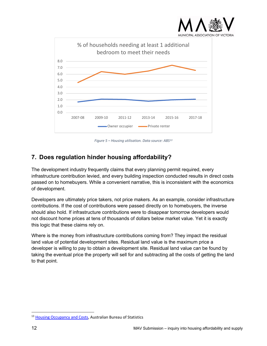



*Figure 5 – Housing utilisation. Data source: ABS13*

#### **7. Does regulation hinder housing affordability?**

The development industry frequently claims that every planning permit required, every infrastructure contribution levied, and every building inspection conducted results in direct costs passed on to homebuyers. While a convenient narrative, this is inconsistent with the economics of development.

Developers are ultimately price takers, not price makers. As an example, consider infrastructure contributions. If the cost of contributions were passed directly on to homebuyers, the inverse should also hold. If infrastructure contributions were to disappear tomorrow developers would not discount home prices at tens of thousands of dollars below market value. Yet it is exactly this logic that these claims rely on.

Where is the money from infrastructure contributions coming from? They impact the residual land value of potential development sites. Residual land value is the maximum price a developer is willing to pay to obtain a development site. Residual land value can be found by taking the eventual price the property will sell for and subtracting all the costs of getting the land to that point.

<sup>&</sup>lt;sup>13</sup> Housing Occupancy and Costs, Australian Bureau of Statistics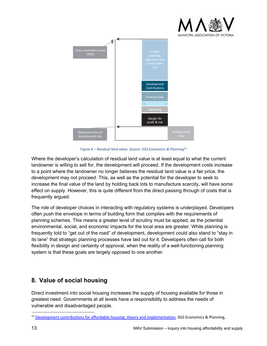



*Figure 6 – Residual land value. Source: SGS Economics & Planning14*

Where the developer's calculation of residual land value is at least equal to what the current landowner is willing to sell for, the development will proceed. If the development costs increase to a point where the landowner no longer believes the residual land value is a fair price, the development may not proceed. This, as well as the potential for the developer to seek to increase the final value of the land by holding back lots to manufacture scarcity, will have some effect on supply. However, this is quite different from the direct passing through of costs that is frequently argued.

The role of developer choices in interacting with regulatory systems is underplayed. Developers often push the envelope in terms of building form that complies with the requirements of planning schemes. This means a greater level of scrutiny must be applied, as the potential environmental, social, and economic impacts for the local area are greater. While planning is frequently told to "get out of the road" of development, development could also stand to "stay in its lane" that strategic planning processes have laid out for it. Developers often call for both flexibility in design and certainty of approval, when the reality of a well-functioning planning system is that these goals are largely opposed to one another.

## **8. Value of social housing**

Direct investment into social housing increases the supply of housing available for those in greatest need. Governments at all levels have a responsibility to address the needs of vulnerable and disadvantaged people.

<sup>&</sup>lt;sup>14</sup> Development contributions for affordable housing: theory and implementation, SGS Economics & Planning,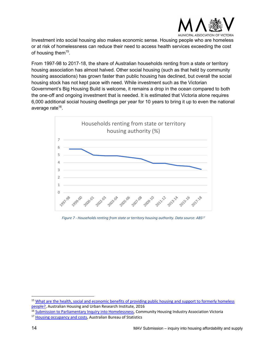

Investment into social housing also makes economic sense. Housing people who are homeless or at risk of homelessness can reduce their need to access health services exceeding the cost of housing them<sup>15</sup>.

From 1997-98 to 2017-18, the share of Australian households renting from a state or territory housing association has almost halved. Other social housing (such as that held by community housing associations) has grown faster than public housing has declined, but overall the social housing stock has not kept pace with need. While investment such as the Victorian Government's Big Housing Build is welcome, it remains a drop in the ocean compared to both the one-off and ongoing investment that is needed. It is estimated that Victoria alone requires 6,000 additional social housing dwellings per year for 10 years to bring it up to even the national average rate<sup>16</sup>.



*Figure 7 - Households renting from state or territory housing authority. Data source: ABS17*

<sup>15</sup> What are the health, social and economic benefits of providing public housing and support to formerly homeless people?, Australian Housing and Urban Research Institute, 2016

<sup>&</sup>lt;sup>16</sup> Submission to Parliamentary Inquiry into Homelessness, Community Housing Industry Association Victoria

<sup>&</sup>lt;sup>17</sup> Housing occupancy and costs, Australian Bureau of Statistics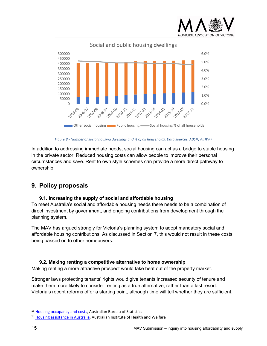



*Figure 8 - Number of social housing dwellings and % of all households. Data sources: ABS18, AIHW19*

In addition to addressing immediate needs, social housing can act as a bridge to stable housing in the private sector. Reduced housing costs can allow people to improve their personal circumstances and save. Rent to own style schemes can provide a more direct pathway to ownership.

## **9. Policy proposals**

#### **9.1. Increasing the supply of social and affordable housing**

To meet Australia's social and affordable housing needs there needs to be a combination of direct investment by government, and ongoing contributions from development through the planning system.

The MAV has argued strongly for Victoria's planning system to adopt mandatory social and affordable housing contributions. As discussed in Section 7, this would not result in these costs being passed on to other homebuyers.

#### **9.2. Making renting a competitive alternative to home ownership**

Making renting a more attractive prospect would take heat out of the property market.

Stronger laws protecting tenants' rights would give tenants increased security of tenure and make them more likely to consider renting as a true alternative, rather than a last resort. Victoria's recent reforms offer a starting point, although time will tell whether they are sufficient.

<sup>&</sup>lt;sup>18</sup> Housing occupancy and costs, Australian Bureau of Statistics

<sup>&</sup>lt;sup>19</sup> Housing assistance in Australia, Australian Institute of Health and Welfare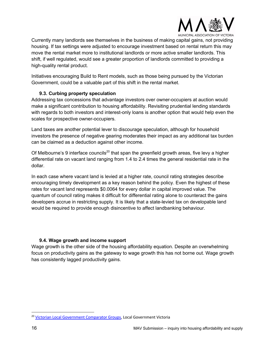

Currently many landlords see themselves in the business of making capital gains, not providing housing. If tax settings were adjusted to encourage investment based on rental return this may move the rental market more to institutional landlords or more active smaller landlords. This shift, if well regulated, would see a greater proportion of landlords committed to providing a high-quality rental product.

Initiatives encouraging Build to Rent models, such as those being pursued by the Victorian Government, could be a valuable part of this shift in the rental market.

#### **9.3. Curbing property speculation**

Addressing tax concessions that advantage investors over owner-occupiers at auction would make a significant contribution to housing affordability. Revisiting prudential lending standards with regards to both investors and interest-only loans is another option that would help even the scales for prospective owner-occupiers.

Land taxes are another potential lever to discourage speculation, although for household investors the presence of negative gearing moderates their impact as any additional tax burden can be claimed as a deduction against other income.

Of Melbourne's 9 interface councils<sup>20</sup> that span the greenfield growth areas, five levy a higher differential rate on vacant land ranging from 1.4 to 2.4 times the general residential rate in the dollar.

In each case where vacant land is levied at a higher rate, council rating strategies describe encouraging timely development as a key reason behind the policy. Even the highest of these rates for vacant land represents \$0.0064 for every dollar in capital improved value. The quantum of council rating makes it difficult for differential rating alone to counteract the gains developers accrue in restricting supply. It is likely that a state-levied tax on developable land would be required to provide enough disincentive to affect landbanking behaviour.

#### **9.4. Wage growth and income support**

Wage growth is the other side of the housing affordability equation. Despite an overwhelming focus on productivity gains as the gateway to wage growth this has not borne out. Wage growth has consistently lagged productivity gains.

<sup>&</sup>lt;sup>20</sup> Victorian Local Government Comparator Groups, Local Government Victoria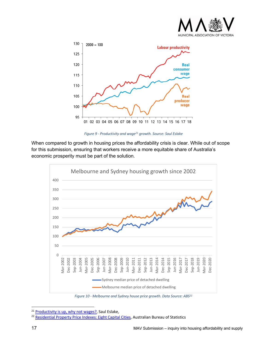



*Figure 9 - Productivity and wage21 growth. Source: Saul Eslake*

When compared to growth in housing prices the affordability crisis is clear. While out of scope for this submission, ensuring that workers receive a more equitable share of Australia's economic prosperity must be part of the solution.



*Figure 10 - Melbourne and Sydney house price growth. Data Source: ABS22*

<sup>&</sup>lt;sup>21</sup> Productivity is up, why not wages?, Saul Eslake,<br><sup>22</sup> Residential Property Price Indexes: Eight Capital Cities, Australian Bureau of Statistics